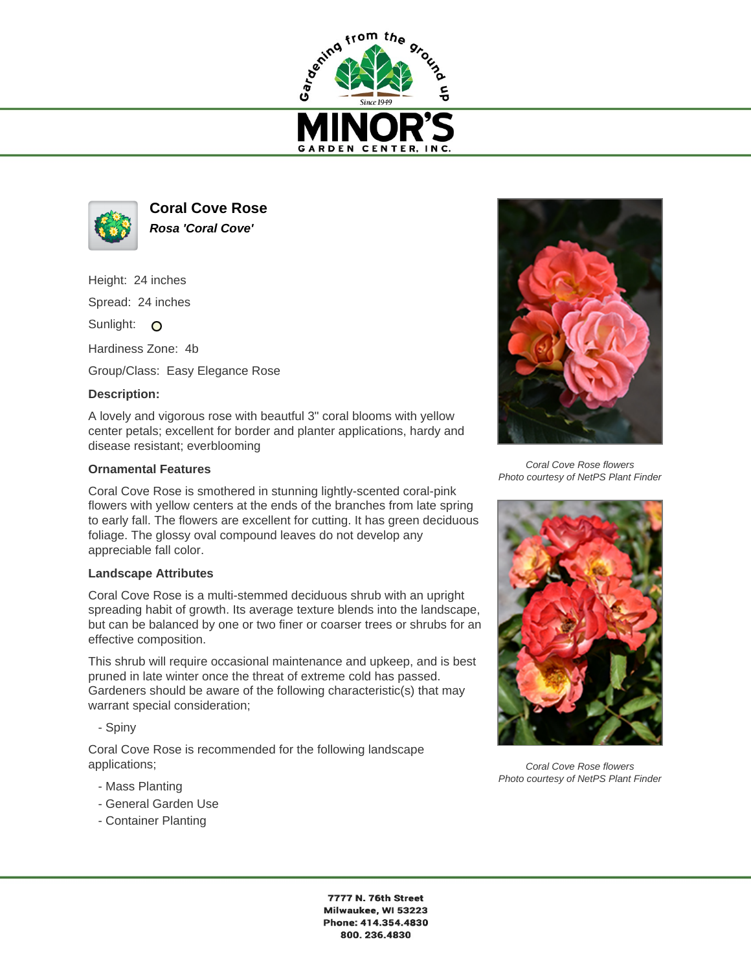



**Coral Cove Rose Rosa 'Coral Cove'**

Height: 24 inches

Spread: 24 inches

Sunlight: O

Hardiness Zone: 4b

Group/Class: Easy Elegance Rose

## **Description:**

A lovely and vigorous rose with beautful 3" coral blooms with yellow center petals; excellent for border and planter applications, hardy and disease resistant; everblooming

## **Ornamental Features**

Coral Cove Rose is smothered in stunning lightly-scented coral-pink flowers with yellow centers at the ends of the branches from late spring to early fall. The flowers are excellent for cutting. It has green deciduous foliage. The glossy oval compound leaves do not develop any appreciable fall color.

## **Landscape Attributes**

Coral Cove Rose is a multi-stemmed deciduous shrub with an upright spreading habit of growth. Its average texture blends into the landscape, but can be balanced by one or two finer or coarser trees or shrubs for an effective composition.

This shrub will require occasional maintenance and upkeep, and is best pruned in late winter once the threat of extreme cold has passed. Gardeners should be aware of the following characteristic(s) that may warrant special consideration;

- Spiny

Coral Cove Rose is recommended for the following landscape applications;

- Mass Planting
- General Garden Use
- Container Planting



Coral Cove Rose flowers Photo courtesy of NetPS Plant Finder



Coral Cove Rose flowers Photo courtesy of NetPS Plant Finder